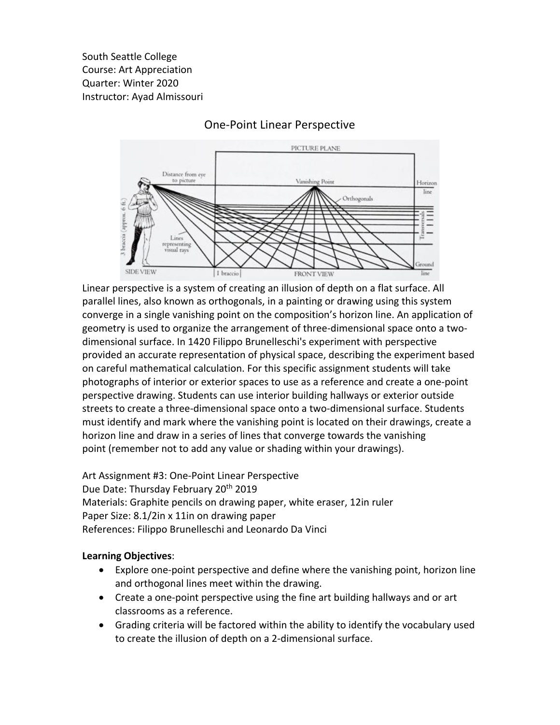South Seattle College Course: Art Appreciation Quarter: Winter 2020 Instructor: Ayad Almissouri



## One-Point Linear Perspective

Linear perspective is a system of creating an illusion of depth on a flat surface. All parallel lines, also known as orthogonals, in a painting or drawing using this system converge in a single vanishing point on the composition's horizon line. An application of geometry is used to organize the arrangement of three-dimensional space onto a twodimensional surface. In 1420 Filippo Brunelleschi's experiment with perspective provided an accurate representation of physical space, describing the experiment based on careful mathematical calculation. For this specific assignment students will take photographs of interior or exterior spaces to use as a reference and create a one-point perspective drawing. Students can use interior building hallways or exterior outside streets to create a three-dimensional space onto a two-dimensional surface. Students must identify and mark where the vanishing point is located on their drawings, create a horizon line and draw in a series of lines that converge towards the vanishing point (remember not to add any value or shading within your drawings).

Art Assignment #3: One-Point Linear Perspective Due Date: Thursday February 20th 2019 Materials: Graphite pencils on drawing paper, white eraser, 12in ruler Paper Size: 8.1/2in x 11in on drawing paper References: Filippo Brunelleschi and Leonardo Da Vinci

## **Learning Objectives**:

- Explore one-point perspective and define where the vanishing point, horizon line and orthogonal lines meet within the drawing.
- Create a one-point perspective using the fine art building hallways and or art classrooms as a reference.
- Grading criteria will be factored within the ability to identify the vocabulary used to create the illusion of depth on a 2-dimensional surface.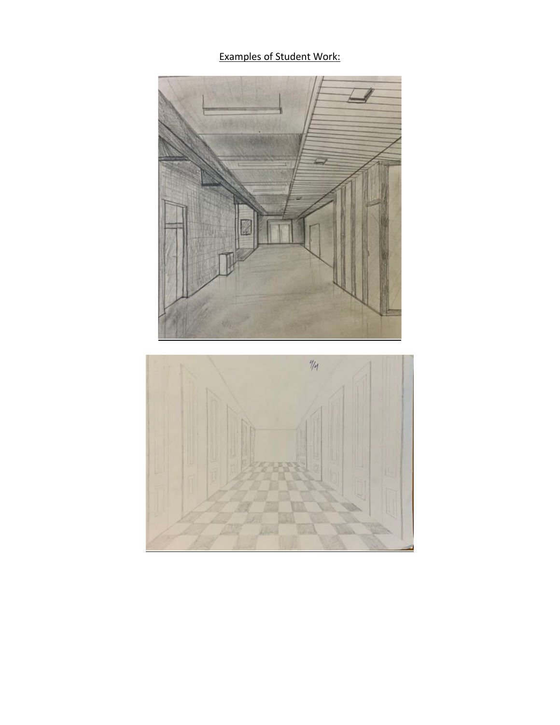Examples of Student Work: